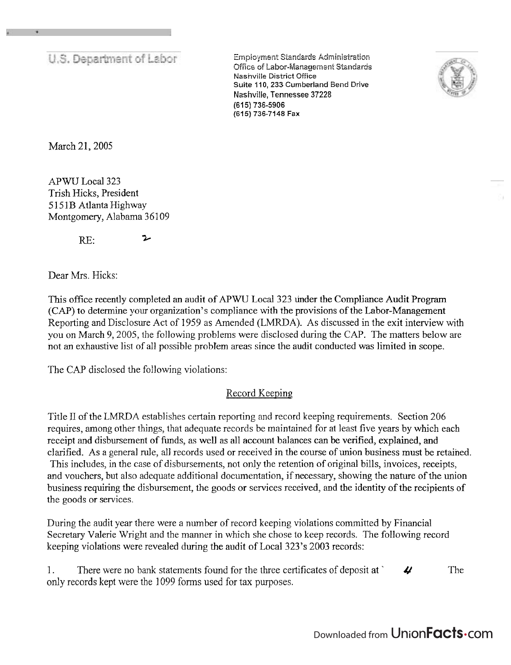U.S. Department of Labor

 $Emplov$ ment Standards Administration Office of Labor-Management Standards **Nashville District Office Suite** ? **10, 233 Cumberland Bend** Drive Nashville, Tennessee **37228 (615) 736-5906 (615) 736-7148 Fax** 



March 21,2005

APWU Local 323 Trish Hicks, President *5* 1 5 1B Atlanta Highway Montgomery, Alabama 36109

 $RE:$  2

Dear Mrs. Hicks:

This office recently completed an audit of APWU Local 323 under the Compliance Audit Program (CAP) to determine your organization's compliance with the provisions of the Labor-Management Reporting and Disclosure Act of 1959 as Amended (LMRDA). As discussed in the exit interview with you on March 9,2005, the following problems were disclosed during the CAP. The matters below are not an exhaustive list of all possible problem areas since the audit conducted was limited in scope.

The CAP disclosed the following violations:

## Record Keeping

Title I1 of the LMRDA establishes certain reporting and record keeping requirements. Section 206 requires, among other things, that adequate records be maintained for at least five years by which each receipt and disbursement of finds, as well as all account balances can be verified, explained, and clarified. As a general rule, all records used or received in the course of union business must be retained. This includes, in the case of disbursements, not only the retention of original bills, invoices, receipts, and vouchers, but also adequate additional documentation, if necessary, showing the nature of the union business requiring the disbursement, the goods or services received, and the identity of the recipients of the goods or services.

During the audit year there were a number of record keeping violations committed by Financial Secretary Valerie Wright and the manner in which she chose to keep records. The following record keeping violations were revealed during the audit of Local 323's 2003 records:

|                                                              | There were no bank statements found for the three certificates of deposit at | The |
|--------------------------------------------------------------|------------------------------------------------------------------------------|-----|
| only records kept were the 1099 forms used for tax purposes. |                                                                              |     |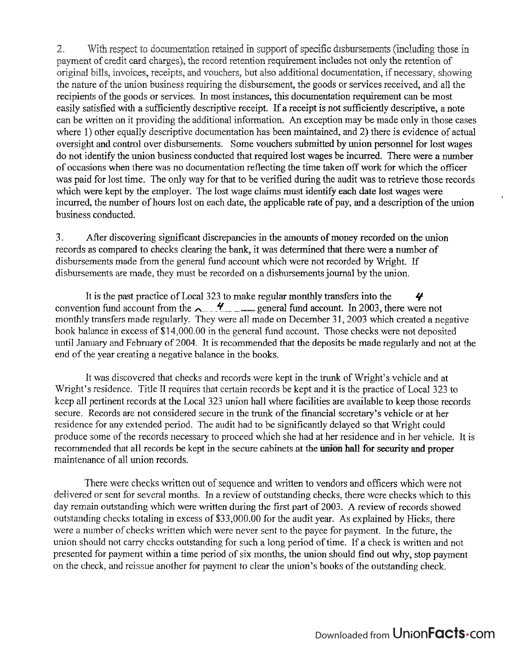$\overline{z}$ . With respect to documentation retained in support of specific disbursements (including those in payment of credit card charges), the record retention requirement includes not only the retention of original bills, invoices, receipts, and vouchers, but also additional documentation, if necessary, showing the nature of the union business requiring the disbursement, the goods or services received, and all the recipients of the goods or services. In most instances, this documentation requirement can be most easily satisfied with a sufficiently descriptive receipt. If a receipt is not sufficiently descriptive, a note can be written on it providing the additional information. An exception may be made only in those cases where 1) other equally descriptive documentation has been maintained, and 2) there is evidence of actual oversight and control over disbursements. Some vouchers submitted by union personnel for lost wages do not identify the union business conducted that required lost wages be incurred. There were a number of occasions when there was no documentation reflecting the time taken off work for which the officer was paid for lost time. The only way for that to be verified during the audit was to retrieve those records which were kept by the employer. The lost wage claims must identify each date lost wages were incurred, the number of hours lost on each date, the applicable rate of pay, and a description of the union business conducted.

 $\overline{3}$ . After discovering significant discrepancies in the amounts of money recorded on the union records as compared to checks clearing the bank, it was determined that there were a number of disbursements made from the general fund account which were not recorded by Wright. If disbursements are made, they must be recorded on a disbursements journal by the union.

It is the past practice of Local 323 to make regular monthly transfers into the 4 convention fund account from the  $\sim$   $\frac{4}{3}$  general fund account. In 2003, there were not monthly transfers made regularly. They were all made on December 31, 2003 which created a negative book balance in excess of \$14,000.00 in the general fund account. Those checks were not deposited until January and February of 2004. It is recommended that the deposits be made regularly and not at the end of the year creating a negative balance in the books.

It was discovered that checks and records were kept in the trunk of Wright's vehicle and at Wright's residence. Title II requires that certain records be kept and it is the practice of Local 323 to keep all pertinent records at the Local 323 union hall where facilities are available to keep those records secure. Records are not considered secure in the trunk of the financial secretary's vehicle or at her residence for any extended period. The audit had to be significantly delayed so that Wright could produce some of the records necessary to proceed which she had at her residence and in her vehicle. It is recommended that all records be kept in the secure cabinets at the union hall for security and proper maintenance of all union records.

There were checks written out of sequence and written to vendors and officers which were not delivered or sent for several months. In a review of outstanding checks, there were checks which to this day remain outstanding which were written during the first part of 2003. A review of records showed outstanding checks totaling in excess of \$33,000.00 for the audit year. As explained by Hicks, there were a number of checks written which were never sent to the payee for payment. In the future, the union should not carry checks outstanding for such a long period of time. If a check is written and not presented for payment within a time period of six months, the union should find out why, stop payment on the check, and reissue another for payment to clear the union's books of the outstanding check.

 $\hat{\mathbf{r}}$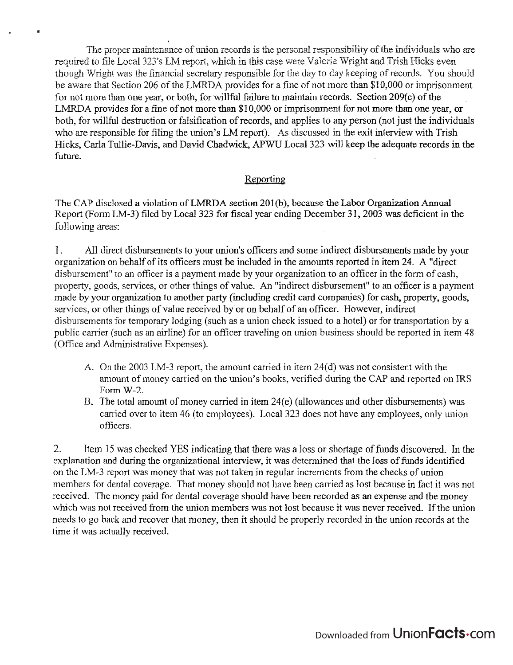I The proper maintenance of union records is the personal responsibility of the individuals who are required to file Local 323's LM report, which in this case were Valerie Wright and Trish Hicks even though Wright was the financial secretary responsible for the day to day keeping of records. You should be aware that Section 206 of the LMRDA provides for a fine of not more than \$10,000 or imprisonment for not more than one year, or both, for willful failure to maintain records. Section 209(c) of the LMRDA provides for a fine of not more than  $$10,000$  or imprisonment for not more than one year, or both, for willful destruction or falsification of records, and applies to any person (not just the individuals who are responsible for filing the union's LM report). As discussed in the exit interview with Trish Hicks, Carla Tullie-Davis, and David Chadwick, APWU Local 323 will keep the adequate records in the future.

 $\alpha$ 

## Reporting

The CAP disclosed **a** violation of LMRDA section 201(b), because **the** Labor **Organization** Annual Report (Form LM-3) filed by Local 323 for fiscal year ending December 31, 2003 was deficient in the following areas:

1. All direct disbursements to your union's officers and some indirect disbursements made by your organization on behalf of its officers must be included in the amounts reported in item 24. A "direct disbursement" to an officer is a payment made by your organization to an officer in the form of cash, property, goods, services, or other things of value. An "indirect disbursement" to an officer is a payment made by your organization to another party (including credit card companies) for cash, property, goods, services, or other things of value received by or on behalf of an officer. However, indirect disbursements for temporary lodging (such as a union check issued to a hotel) or for transportation by a public carrier (such as an airline) for an officer traveling on union business should be reported in item 48 (Office and Administrative Expenses).

- A. On the 2003 LM-3 report, the amount carried in item 24(d) was not consistent with the amount of money carried on the union's books, verified during the CAP and reported on IRS Form W-2.
- B. The total amount of money carried in item 24(e) (allowances and other disbursements) was carried over to item 46 (to employees). Local 323 does not have any employees, only union officers.

2. Item 15 was checked YES indicating that tbere was a loss or shorkge of funds discovered. **Jn** the explanation and during the organizational interview, it was determined that the loss of funds identified on the LM-3 report was money that was not taken in regular increments from the checks of union members for dental coverage. That money should not have been carried as lost because in fact it was not received. The money paid for dental coverage should have been recorded as an expense and the money which was not received from the union members was not lost because it was never received. If the union needs to go back and recover that money, then it should be properly recorded in the union records at the time it was actually received.